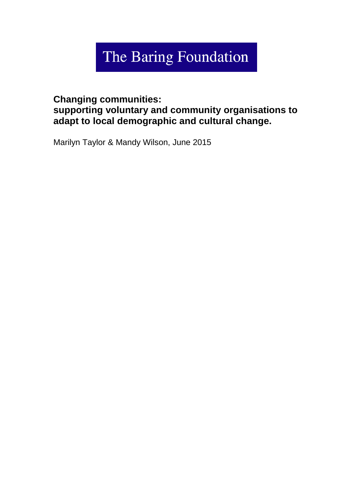# The Baring Foundation

## **Changing communities: supporting voluntary and community organisations to adapt to local demographic and cultural change.**

Marilyn Taylor & Mandy Wilson, June 2015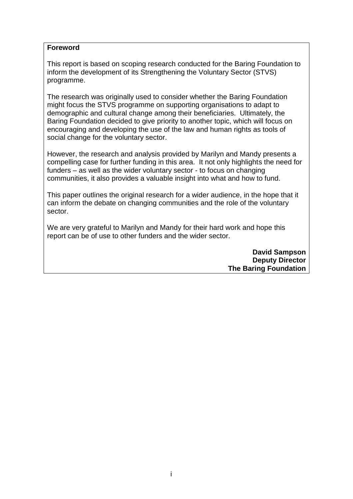#### **Foreword**

This report is based on scoping research conducted for the Baring Foundation to inform the development of its Strengthening the Voluntary Sector (STVS) programme.

The research was originally used to consider whether the Baring Foundation might focus the STVS programme on supporting organisations to adapt to demographic and cultural change among their beneficiaries. Ultimately, the Baring Foundation decided to give priority to another topic, which will focus on encouraging and developing the use of the law and human rights as tools of social change for the voluntary sector.

However, the research and analysis provided by Marilyn and Mandy presents a compelling case for further funding in this area. It not only highlights the need for funders – as well as the wider voluntary sector - to focus on changing communities, it also provides a valuable insight into what and how to fund.

This paper outlines the original research for a wider audience, in the hope that it can inform the debate on changing communities and the role of the voluntary sector.

We are very grateful to Marilyn and Mandy for their hard work and hope this report can be of use to other funders and the wider sector.

> **David Sampson Deputy Director The Baring Foundation**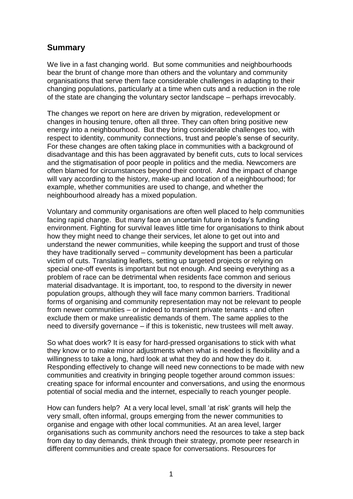## **Summary**

We live in a fast changing world. But some communities and neighbourhoods bear the brunt of change more than others and the voluntary and community organisations that serve them face considerable challenges in adapting to their changing populations, particularly at a time when cuts and a reduction in the role of the state are changing the voluntary sector landscape – perhaps irrevocably.

The changes we report on here are driven by migration, redevelopment or changes in housing tenure, often all three. They can often bring positive new energy into a neighbourhood. But they bring considerable challenges too, with respect to identity, community connections, trust and people's sense of security. For these changes are often taking place in communities with a background of disadvantage and this has been aggravated by benefit cuts, cuts to local services and the stigmatisation of poor people in politics and the media. Newcomers are often blamed for circumstances beyond their control. And the impact of change will vary according to the history, make-up and location of a neighbourhood; for example, whether communities are used to change, and whether the neighbourhood already has a mixed population.

Voluntary and community organisations are often well placed to help communities facing rapid change. But many face an uncertain future in today's funding environment. Fighting for survival leaves little time for organisations to think about how they might need to change their services, let alone to get out into and understand the newer communities, while keeping the support and trust of those they have traditionally served – community development has been a particular victim of cuts. Translating leaflets, setting up targeted projects or relying on special one-off events is important but not enough. And seeing everything as a problem of race can be detrimental when residents face common and serious material disadvantage. It is important, too, to respond to the diversity in newer population groups, although they will face many common barriers. Traditional forms of organising and community representation may not be relevant to people from newer communities – or indeed to transient private tenants - and often exclude them or make unrealistic demands of them. The same applies to the need to diversify governance – if this is tokenistic, new trustees will melt away.

So what does work? It is easy for hard-pressed organisations to stick with what they know or to make minor adjustments when what is needed is flexibility and a willingness to take a long, hard look at what they do and how they do it. Responding effectively to change will need new connections to be made with new communities and creativity in bringing people together around common issues: creating space for informal encounter and conversations, and using the enormous potential of social media and the internet, especially to reach younger people.

How can funders help? At a very local level, small 'at risk' grants will help the very small, often informal, groups emerging from the newer communities to organise and engage with other local communities. At an area level, larger organisations such as community anchors need the resources to take a step back from day to day demands, think through their strategy, promote peer research in different communities and create space for conversations. Resources for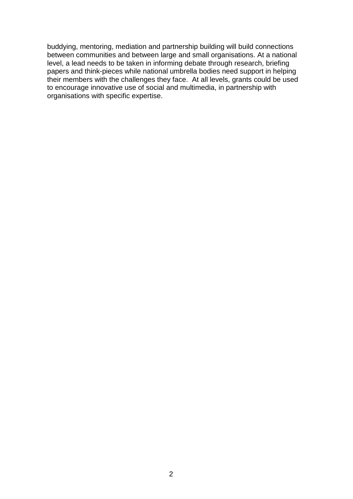buddying, mentoring, mediation and partnership building will build connections between communities and between large and small organisations. At a national level, a lead needs to be taken in informing debate through research, briefing papers and think-pieces while national umbrella bodies need support in helping their members with the challenges they face. At all levels, grants could be used to encourage innovative use of social and multimedia, in partnership with organisations with specific expertise.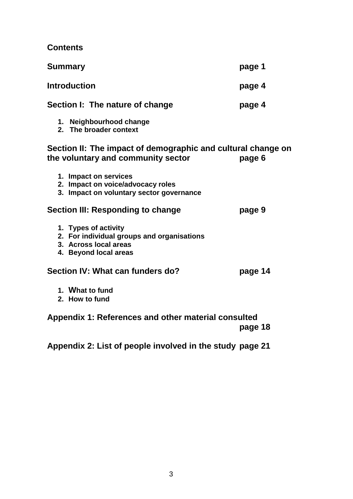**Contents**

| <b>Summary</b>                                                                                                       | page 1  |
|----------------------------------------------------------------------------------------------------------------------|---------|
| <b>Introduction</b>                                                                                                  | page 4  |
| Section I: The nature of change                                                                                      | page 4  |
| 1. Neighbourhood change<br>2. The broader context                                                                    |         |
| Section II: The impact of demographic and cultural change on<br>the voluntary and community sector                   | page 6  |
| 1. Impact on services<br>2. Impact on voice/advocacy roles<br>3. Impact on voluntary sector governance               |         |
| Section III: Responding to change                                                                                    | page 9  |
| 1. Types of activity<br>2. For individual groups and organisations<br>3. Across local areas<br>4. Beyond local areas |         |
| Section IV: What can funders do?                                                                                     | page 14 |
| 1. What to fund<br>2. How to fund                                                                                    |         |
| Appendix 1: References and other material consulted                                                                  |         |

**page 18**

**Appendix 2: List of people involved in the study page 21**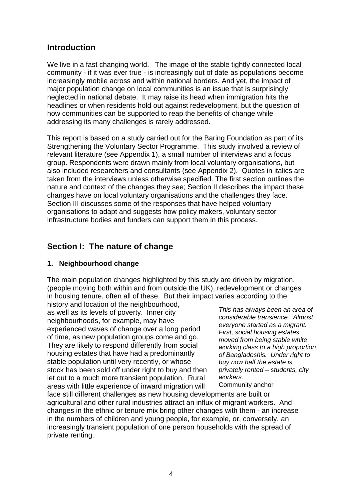## **Introduction**

We live in a fast changing world. The image of the stable tightly connected local community - if it was ever true - is increasingly out of date as populations become increasingly mobile across and within national borders. And yet, the impact of major population change on local communities is an issue that is surprisingly neglected in national debate. It may raise its head when immigration hits the headlines or when residents hold out against redevelopment, but the question of how communities can be supported to reap the benefits of change while addressing its many challenges is rarely addressed.

This report is based on a study carried out for the Baring Foundation as part of its Strengthening the Voluntary Sector Programme. This study involved a review of relevant literature (see Appendix 1), a small number of interviews and a focus group. Respondents were drawn mainly from local voluntary organisations, but also included researchers and consultants (see Appendix 2). Quotes in italics are taken from the interviews unless otherwise specified. The first section outlines the nature and context of the changes they see; Section II describes the impact these changes have on local voluntary organisations and the challenges they face. Section III discusses some of the responses that have helped voluntary organisations to adapt and suggests how policy makers, voluntary sector infrastructure bodies and funders can support them in this process.

## **Section I: The nature of change**

#### **1. Neighbourhood change**

The main population changes highlighted by this study are driven by migration, (people moving both within and from outside the UK), redevelopment or changes in housing tenure, often all of these. But their impact varies according to the

history and location of the neighbourhood, as well as its levels of poverty. Inner city neighbourhoods, for example, may have experienced waves of change over a long period of time, as new population groups come and go. They are likely to respond differently from social housing estates that have had a predominantly stable population until very recently, or whose stock has been sold off under right to buy and then let out to a much more transient population. Rural areas with little experience of inward migration will

*This has always been an area of considerable transience. Almost everyone started as a migrant. First, social housing estates moved from being stable white working class to a high proportion of Bangladeshis. Under right to buy now half the estate is privately rented – students, city workers.* 

Community anchor

face still different challenges as new housing developments are built or agricultural and other rural industries attract an influx of migrant workers. And changes in the ethnic or tenure mix bring other changes with them - an increase in the numbers of children and young people, for example, or, conversely, an increasingly transient population of one person households with the spread of private renting.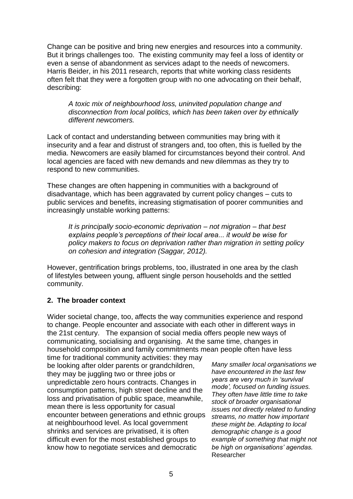Change can be positive and bring new energies and resources into a community. But it brings challenges too. The existing community may feel a loss of identity or even a sense of abandonment as services adapt to the needs of newcomers. Harris Beider, in his 2011 research, reports that white working class residents often felt that they were a forgotten group with no one advocating on their behalf, describing:

*A toxic mix of neighbourhood loss, uninvited population change and disconnection from local politics, which has been taken over by ethnically different newcomers.*

Lack of contact and understanding between communities may bring with it insecurity and a fear and distrust of strangers and, too often, this is fuelled by the media. Newcomers are easily blamed for circumstances beyond their control. And local agencies are faced with new demands and new dilemmas as they try to respond to new communities.

These changes are often happening in communities with a background of disadvantage, which has been aggravated by current policy changes – cuts to public services and benefits, increasing stigmatisation of poorer communities and increasingly unstable working patterns:

*It is principally socio-economic deprivation – not migration – that best explains people's perceptions of their local area... it would be wise for policy makers to focus on deprivation rather than migration in setting policy on cohesion and integration (Saggar, 2012).* 

However, gentrification brings problems, too, illustrated in one area by the clash of lifestyles between young, affluent single person households and the settled community.

## **2. The broader context**

Wider societal change, too, affects the way communities experience and respond to change. People encounter and associate with each other in different ways in the 21st century. The expansion of social media offers people new ways of communicating, socialising and organising. At the same time, changes in household composition and family commitments mean people often have less

time for traditional community activities: they may be looking after older parents or grandchildren, they may be juggling two or three jobs or unpredictable zero hours contracts. Changes in consumption patterns, high street decline and the loss and privatisation of public space, meanwhile, mean there is less opportunity for casual encounter between generations and ethnic groups at neighbourhood level. As local government shrinks and services are privatised, it is often difficult even for the most established groups to know how to negotiate services and democratic

*Many smaller local organisations we have encountered in the last few years are very much in 'survival mode', focused on funding issues. They often have little time to take stock of broader organisational issues not directly related to funding streams, no matter how important these might be. Adapting to local demographic change is a good example of something that might not be high on organisations' agendas.* Researcher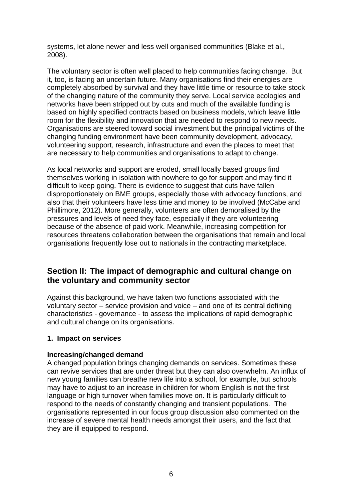systems, let alone newer and less well organised communities (Blake et al., 2008).

The voluntary sector is often well placed to help communities facing change. But it, too, is facing an uncertain future. Many organisations find their energies are completely absorbed by survival and they have little time or resource to take stock of the changing nature of the community they serve. Local service ecologies and networks have been stripped out by cuts and much of the available funding is based on highly specified contracts based on business models, which leave little room for the flexibility and innovation that are needed to respond to new needs. Organisations are steered toward social investment but the principal victims of the changing funding environment have been community development, advocacy, volunteering support, research, infrastructure and even the places to meet that are necessary to help communities and organisations to adapt to change.

As local networks and support are eroded, small locally based groups find themselves working in isolation with nowhere to go for support and may find it difficult to keep going. There is evidence to suggest that cuts have fallen disproportionately on BME groups, especially those with advocacy functions, and also that their volunteers have less time and money to be involved (McCabe and Phillimore, 2012). More generally, volunteers are often demoralised by the pressures and levels of need they face, especially if they are volunteering because of the absence of paid work. Meanwhile, increasing competition for resources threatens collaboration between the organisations that remain and local organisations frequently lose out to nationals in the contracting marketplace.

## **Section II: The impact of demographic and cultural change on the voluntary and community sector**

Against this background, we have taken two functions associated with the voluntary sector – service provision and voice – and one of its central defining characteristics - governance - to assess the implications of rapid demographic and cultural change on its organisations.

#### **1. Impact on services**

#### **Increasing/changed demand**

A changed population brings changing demands on services. Sometimes these can revive services that are under threat but they can also overwhelm. An influx of new young families can breathe new life into a school, for example, but schools may have to adjust to an increase in children for whom English is not the first language or high turnover when families move on. It is particularly difficult to respond to the needs of constantly changing and transient populations. The organisations represented in our focus group discussion also commented on the increase of severe mental health needs amongst their users, and the fact that they are ill equipped to respond.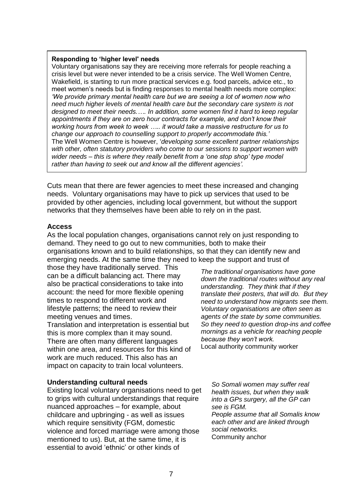#### **Responding to 'higher level' needs**

Voluntary organisations say they are receiving more referrals for people reaching a crisis level but were never intended to be a crisis service. The Well Women Centre, Wakefield, is starting to run more practical services e.g. food parcels, advice etc., to meet women's needs but is finding responses to mental health needs more complex: *'We provide primary mental health care but we are seeing a lot of women now who need much higher levels of mental health care but the secondary care system is not designed to meet their needs.…. In addition, some women find it hard to keep regular appointments if they are on zero hour contracts for example, and don't know their working hours from week to week ….. it would take a massive restructure for us to change our approach to counselling support to properly accommodate this.'* The Well Women Centre is however, '*developing some excellent partner relationships with other, often statutory providers who come to our sessions to support women with wider needs – this is where they really benefit from a 'one stop shop' type model rather than having to seek out and know all the different agencies'.*

Cuts mean that there are fewer agencies to meet these increased and changing needs. Voluntary organisations may have to pick up services that used to be provided by other agencies, including local government, but without the support networks that they themselves have been able to rely on in the past.

#### **Access**

As the local population changes, organisations cannot rely on just responding to demand. They need to go out to new communities, both to make their organisations known and to build relationships, so that they can identify new and emerging needs. At the same time they need to keep the support and trust of

those they have traditionally served. This can be a difficult balancing act. There may also be practical considerations to take into account: the need for more flexible opening times to respond to different work and lifestyle patterns; the need to review their meeting venues and times.

Translation and interpretation is essential but this is more complex than it may sound. There are often many different languages within one area, and resources for this kind of work are much reduced. This also has an impact on capacity to train local volunteers.

#### **Understanding cultural needs**

Existing local voluntary organisations need to get to grips with cultural understandings that require nuanced approaches – for example, about childcare and upbringing - as well as issues which require sensitivity (FGM, domestic violence and forced marriage were among those mentioned to us). But, at the same time, it is essential to avoid 'ethnic' or other kinds of

*The traditional organisations have gone down the traditional routes without any real understanding. They think that if they translate their posters, that will do. But they need to understand how migrants see them. Voluntary organisations are often seen as agents of the state by some communities. So they need to question drop-ins and coffee mornings as a vehicle for reaching people because they won't work.* Local authority community worker

*So Somali women may suffer real health issues, but when they walk into a GPs surgery, all the GP can see is FGM. People assume that all Somalis know each other and are linked through social networks.* Community anchor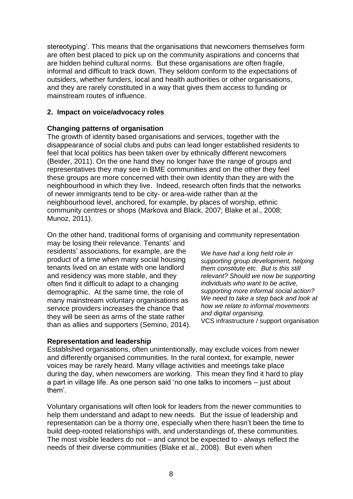stereotyping'. This means that the organisations that newcomers themselves form are often best placed to pick up on the community aspirations and concerns that are hidden behind cultural norms. But these organisations are often fragile, informal and difficult to track down. They seldom conform to the expectations of outsiders, whether funders, local and health authorities or other organisations, and they are rarely constituted in a way that gives them access to funding or mainstream routes of influence.

## **2. Impact on voice/advocacy roles**

## **Changing patterns of organisation**

The growth of identity based organisations and services, together with the disappearance of social clubs and pubs can lead longer established residents to feel that local politics has been taken over by ethnically different newcomers (Beider, 2011). On the one hand they no longer have the range of groups and representatives they may see in BME communities and on the other they feel these groups are more concerned with their own identity than they are with the neighbourhood in which they live. Indeed, research often finds that the networks of newer immigrants tend to be city- or area-wide rather than at the neighbourhood level, anchored, for example, by places of worship, ethnic community centres or shops (Markova and Black, 2007; Blake et al., 2008; Munoz, 2011).

On the other hand, traditional forms of organising and community representation

may be losing their relevance. Tenants' and residents' associations, for example, are the product of a time when many social housing tenants lived on an estate with one landlord and residency was more stable, and they often find it difficult to adapt to a changing demographic. At the same time, the role of many mainstream voluntary organisations as service providers increases the chance that they will be seen as arms of the state rather than as allies and supporters (Semino, 2014).

## **Representation and leadership**

*We have had a long held role in supporting group development, helping them constitute etc. But is this still relevant? Should we now be supporting individuals who want to be active, supporting more informal social action? We need to take a step back and look at how we relate to informal movements and digital organising.* 

VCS infrastructure / support organisation

Established organisations, often unintentionally, may exclude voices from newer and differently organised communities. In the rural context, for example, newer voices may be rarely heard. Many village activities and meetings take place during the day, when newcomers are working. This mean they find it hard to play a part in village life. As one person said 'no one talks to incomers – just about them'.

Voluntary organisations will often look for leaders from the newer communities to help them understand and adapt to new needs. But the issue of leadership and representation can be a thorny one, especially when there hasn't been the time to build deep-rooted relationships with, and understandings of, these communities. The most visible leaders do not – and cannot be expected to - always reflect the needs of their diverse communities (Blake et al., 2008). But even when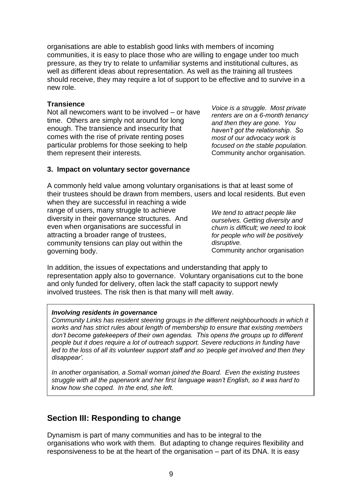organisations are able to establish good links with members of incoming communities, it is easy to place those who are willing to engage under too much pressure, as they try to relate to unfamiliar systems and institutional cultures, as well as different ideas about representation. As well as the training all trustees should receive, they may require a lot of support to be effective and to survive in a new role.

#### **Transience**

Not all newcomers want to be involved – or have time. Others are simply not around for long enough. The transience and insecurity that comes with the rise of private renting poses particular problems for those seeking to help them represent their interests.

*Voice is a struggle. Most private renters are on a 6-month tenancy and then they are gone. You haven't got the relationship. So most of our advocacy work is focused on the stable population.* Community anchor organisation.

#### **3. Impact on voluntary sector governance**

A commonly held value among voluntary organisations is that at least some of their trustees should be drawn from members, users and local residents. But even when they are successful in reaching a wide

range of users, many struggle to achieve diversity in their governance structures. And even when organisations are successful in attracting a broader range of trustees, community tensions can play out within the governing body.

*We tend to attract people like ourselves. Getting diversity and churn is difficult; we need to look for people who will be positively disruptive.*  Community anchor organisation

In addition, the issues of expectations and understanding that apply to representation apply also to governance. Voluntary organisations cut to the bone and only funded for delivery, often lack the staff capacity to support newly involved trustees. The risk then is that many will melt away.

#### *Involving residents in governance*

*Community Links has resident steering groups in the different neighbourhoods in which it works and has strict rules about length of membership to ensure that existing members don't become gatekeepers of their own agendas. This opens the groups up to different people but it does require a lot of outreach support. Severe reductions in funding have led to the loss of all its volunteer support staff and so 'people get involved and then they disappear'.*

*In another organisation, a Somali woman joined the Board. Even the existing trustees struggle with all the paperwork and her first language wasn't English, so it was hard to know how she coped. In the end, she left.*

## **Section III: Responding to change**

Dynamism is part of many communities and has to be integral to the organisations who work with them. But adapting to change requires flexibility and responsiveness to be at the heart of the organisation – part of its DNA. It is easy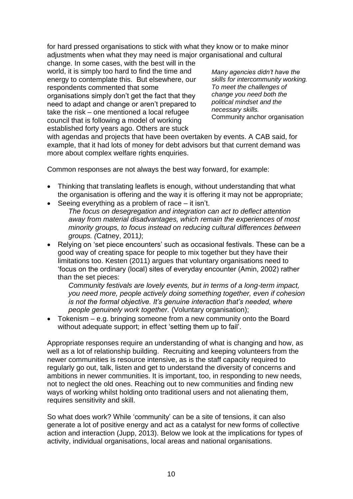for hard pressed organisations to stick with what they know or to make minor adjustments when what they may need is major organisational and cultural

change. In some cases, with the best will in the world, it is simply too hard to find the time and energy to contemplate this. But elsewhere, our respondents commented that some organisations simply don't get the fact that they need to adapt and change or aren't prepared to take the risk – one mentioned a local refugee council that is following a model of working established forty years ago. Others are stuck

*Many agencies didn't have the skills for intercommunity working. To meet the challenges of change you need both the political mindset and the necessary skills.* Community anchor organisation

with agendas and projects that have been overtaken by events. A CAB said, for example, that it had lots of money for debt advisors but that current demand was more about complex welfare rights enquiries.

Common responses are not always the best way forward, for example:

- Thinking that translating leaflets is enough, without understanding that what the organisation is offering and the way it is offering it may not be appropriate;
- Seeing everything as a problem of race it isn't. *The focus on desegregation and integration can act to deflect attention away from material disadvantages, which remain the experiences of most minority groups, to focus instead on reducing cultural differences between groups. (*Catney, 2011*)*;
- Relying on 'set piece encounters' such as occasional festivals. These can be a good way of creating space for people to mix together but they have their limitations too. Kesten (2011) argues that voluntary organisations need to 'focus on the ordinary (local) sites of everyday encounter (Amin, 2002) rather than the set pieces:

*Community festivals are lovely events, but in terms of a long-term impact, you need more, people actively doing something together, even if cohesion is not the formal objective. It's genuine interaction that's needed, where people genuinely work together.* (Voluntary organisation);

 Tokenism – e.g. bringing someone from a new community onto the Board without adequate support; in effect 'setting them up to fail'.

Appropriate responses require an understanding of what is changing and how, as well as a lot of relationship building. Recruiting and keeping volunteers from the newer communities is resource intensive, as is the staff capacity required to regularly go out, talk, listen and get to understand the diversity of concerns and ambitions in newer communities. It is important, too, in responding to new needs, not to neglect the old ones. Reaching out to new communities and finding new ways of working whilst holding onto traditional users and not alienating them, requires sensitivity and skill.

So what does work? While 'community' can be a site of tensions, it can also generate a lot of positive energy and act as a catalyst for new forms of collective action and interaction (Jupp, 2013). Below we look at the implications for types of activity, individual organisations, local areas and national organisations.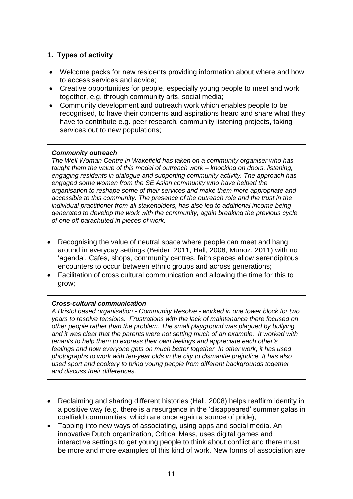## **1. Types of activity**

- Welcome packs for new residents providing information about where and how to access services and advice;
- Creative opportunities for people, especially young people to meet and work together, e.g. through community arts, social media;
- Community development and outreach work which enables people to be recognised, to have their concerns and aspirations heard and share what they have to contribute e.g. peer research, community listening projects, taking services out to new populations;

#### *Community outreach*

*The Well Woman Centre in Wakefield has taken on a community organiser who has taught them the value of this model of outreach work – knocking on doors, listening, engaging residents in dialogue and supporting community activity. The approach has engaged some women from the SE Asian community who have helped the organisation to reshape some of their services and make them more appropriate and accessible to this community. The presence of the outreach role and the trust in the individual practitioner from all stakeholders, has also led to additional income being generated to develop the work with the community, again breaking the previous cycle of one off parachuted in pieces of work.*

- Recognising the value of neutral space where people can meet and hang around in everyday settings (Beider, 2011; Hall, 2008; Munoz, 2011) with no 'agenda'. Cafes, shops, community centres, faith spaces allow serendipitous encounters to occur between ethnic groups and across generations;
- Facilitation of cross cultural communication and allowing the time for this to grow;

#### *Cross-cultural communication*

*A Bristol based organisation - Community Resolve - worked in one tower block for two years to resolve tensions. Frustrations with the lack of maintenance there focused on other people rather than the problem. The small playground was plagued by bullying and it was clear that the parents were not setting much of an example. It worked with tenants to help them to express their own feelings and appreciate each other's feelings and now everyone gets on much better together. In other work, it has used photographs to work with ten-year olds in the city to dismantle prejudice. It has also used sport and cookery to bring young people from different backgrounds together and discuss their differences.* 

- Reclaiming and sharing different histories (Hall, 2008) helps reaffirm identity in a positive way (e.g. there is a resurgence in the 'disappeared' summer galas in coalfield communities, which are once again a source of pride);
- Tapping into new ways of associating, using apps and social media. An innovative Dutch organization, Critical Mass, uses digital games and interactive settings to get young people to think about conflict and there must be more and more examples of this kind of work. New forms of association are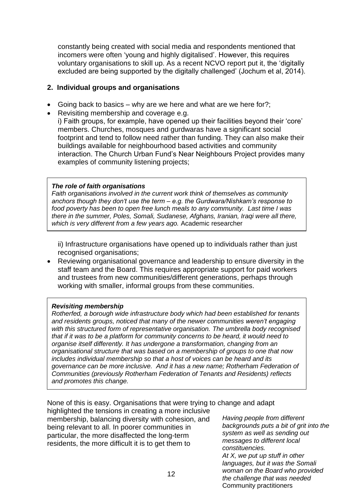constantly being created with social media and respondents mentioned that incomers were often 'young and highly digitalised'. However, this requires voluntary organisations to skill up. As a recent NCVO report put it, the 'digitally excluded are being supported by the digitally challenged' (Jochum et al, 2014).

## **2. Individual groups and organisations**

- Going back to basics why are we here and what are we here for?;
- Revisiting membership and coverage e.g.

i) Faith groups, for example, have opened up their facilities beyond their 'core' members. Churches, mosques and gurdwaras have a significant social footprint and tend to follow need rather than funding. They can also make their buildings available for neighbourhood based activities and community interaction. The Church Urban Fund's Near Neighbours Project provides many examples of community listening projects;

#### *The role of faith organisations*

*Faith organisations involved in the current work think of themselves as community anchors though they don't use the term – e.g. the Gurdwara/Nishkam's response to food poverty has been to open free lunch meals to any community. Last time I was there in the summer, Poles, Somali, Sudanese, Afghans, Iranian, Iraqi were all there, which is very different from a few years ago.* Academic researcher

ii) Infrastructure organisations have opened up to individuals rather than just recognised organisations;

 Reviewing organisational governance and leadership to ensure diversity in the staff team and the Board. This requires appropriate support for paid workers and trustees from new communities/different generations, perhaps through working with smaller, informal groups from these communities.

#### *Revisiting membership*

*Rotherfed, a borough wide infrastructure body which had been established for tenants and residents groups, noticed that many of the newer communities weren't engaging with this structured form of representative organisation. The umbrella body recognised that if it was to be a platform for community concerns to be heard, it would need to organise itself differently. It has undergone a transformation, changing from an organisational structure that was based on a membership of groups to one that now includes individual membership so that a host of voices can be heard and its governance can be more inclusive. And it has a new name; Rotherham Federation of Communities (previously Rotherham Federation of Tenants and Residents) reflects and promotes this change.* 

None of this is easy. Organisations that were trying to change and adapt

highlighted the tensions in creating a more inclusive membership, balancing diversity with cohesion, and being relevant to all. In poorer communities in particular, the more disaffected the long-term residents, the more difficult it is to get them to

*Having people from different backgrounds puts a bit of grit into the system as well as sending out messages to different local constituencies. At X, we put up stuff in other languages, but it was the Somali woman on the Board who provided the challenge that was needed*

Community practitioners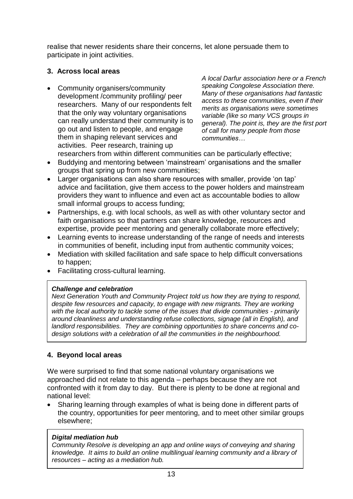realise that newer residents share their concerns, let alone persuade them to participate in joint activities.

## **3. Across local areas**

• Community organisers/community development /community profiling/ peer researchers. Many of our respondents felt that the only way voluntary organisations can really understand their community is to go out and listen to people, and engage them in shaping relevant services and activities. Peer research, training up

*A local Darfur association here or a French speaking Congolese Association there. Many of these organisations had fantastic access to these communities, even if their merits as organisations were sometimes variable (like so many VCS groups in general). The point is, they are the first port of call for many people from those communities…*

- researchers from within different communities can be particularly effective;
- Buddying and mentoring between 'mainstream' organisations and the smaller groups that spring up from new communities;
- Larger organisations can also share resources with smaller, provide 'on tap' advice and facilitation, give them access to the power holders and mainstream providers they want to influence and even act as accountable bodies to allow small informal groups to access funding;
- Partnerships, e.g. with local schools, as well as with other voluntary sector and faith organisations so that partners can share knowledge, resources and expertise, provide peer mentoring and generally collaborate more effectively;
- Learning events to increase understanding of the range of needs and interests in communities of benefit, including input from authentic community voices;
- Mediation with skilled facilitation and safe space to help difficult conversations to happen;
- Facilitating cross-cultural learning.

## *Challenge and celebration*

*Next Generation Youth and Community Project told us how they are trying to respond, despite few resources and capacity, to engage with new migrants. They are working with the local authority to tackle some of the issues that divide communities - primarily around cleanliness and understanding refuse collections, signage (all in English), and landlord responsibilities. They are combining opportunities to share concerns and codesign solutions with a celebration of all the communities in the neighbourhood.* 

## **4. Beyond local areas**

We were surprised to find that some national voluntary organisations we approached did not relate to this agenda – perhaps because they are not confronted with it from day to day. But there is plenty to be done at regional and national level:

 Sharing learning through examples of what is being done in different parts of the country, opportunities for peer mentoring, and to meet other similar groups elsewhere;

## *Digital mediation hub*

*Community Resolve is developing an app and online ways of conveying and sharing knowledge. It aims to build an online multilingual learning community and a library of resources – acting as a mediation hub.*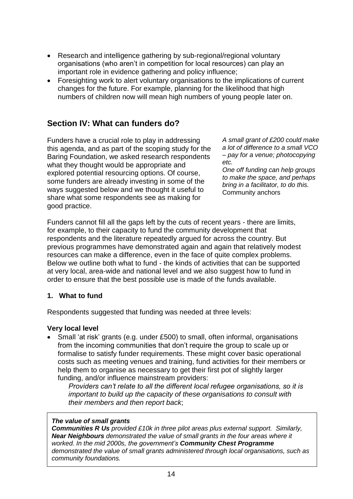- Research and intelligence gathering by sub-regional/regional voluntary organisations (who aren't in competition for local resources) can play an important role in evidence gathering and policy influence;
- Foresighting work to alert voluntary organisations to the implications of current changes for the future. For example, planning for the likelihood that high numbers of children now will mean high numbers of young people later on.

## **Section IV: What can funders do?**

Funders have a crucial role to play in addressing this agenda, and as part of the scoping study for the Baring Foundation, we asked research respondents what they thought would be appropriate and explored potential resourcing options. Of course, some funders are already investing in some of the ways suggested below and we thought it useful to share what some respondents see as making for good practice.

*A small grant of £200 could make a lot of difference to a small VCO – pay for a venue; photocopying etc.*

*One off funding can help groups to make the space, and perhaps bring in a facilitator, to do this.* Community anchors

Funders cannot fill all the gaps left by the cuts of recent years - there are limits, for example, to their capacity to fund the community development that respondents and the literature repeatedly argued for across the country. But previous programmes have demonstrated again and again that relatively modest resources can make a difference, even in the face of quite complex problems. Below we outline both what to fund - the kinds of activities that can be supported at very local, area-wide and national level and we also suggest how to fund in order to ensure that the best possible use is made of the funds available.

#### **1. What to fund**

Respondents suggested that funding was needed at three levels:

#### **Very local level**

 Small 'at risk' grants (e.g. under £500) to small, often informal, organisations from the incoming communities that don't require the group to scale up or formalise to satisfy funder requirements. These might cover basic operational costs such as meeting venues and training, fund activities for their members or help them to organise as necessary to get their first pot of slightly larger funding, and/or influence mainstream providers:

*Providers can't relate to all the different local refugee organisations, so it is important to build up the capacity of these organisations to consult with their members and then report back*;

#### *The value of small grants*

*Communities R Us provided £10k in three pilot areas plus external support. Similarly, Near Neighbours demonstrated the value of small grants in the four areas where it worked. In the mid 2000s, the government's Community Chest Programme demonstrated the value of small grants administered through local organisations, such as community foundations.*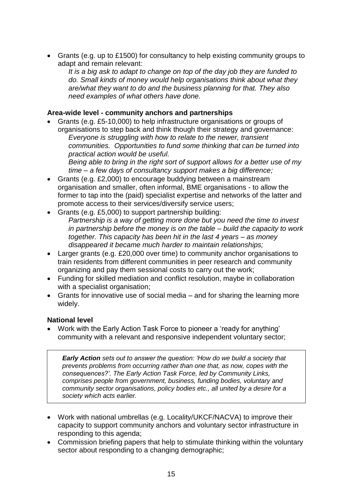Grants (e.g. up to £1500) for consultancy to help existing community groups to adapt and remain relevant:

*It is a big ask to adapt to change on top of the day job they are funded to do. Small kinds of money would help organisations think about what they are/what they want to do and the business planning for that. They also need examples of what others have done.*

## **Area-wide level - community anchors and partnerships**

- Grants (e.g. £5-10,000) to help infrastructure organisations or groups of organisations to step back and think though their strategy and governance: *Everyone is struggling with how to relate to the newer, transient communities. Opportunities to fund some thinking that can be turned into practical action would be useful. Being able to bring in the right sort of support allows for a better use of my time – a few days of consultancy support makes a big difference;*
- Grants (e.g. £2,000) to encourage buddying between a mainstream organisation and smaller, often informal, BME organisations - to allow the former to tap into the (paid) specialist expertise and networks of the latter and promote access to their services/diversify service users;
- Grants (e.g. £5,000) to support partnership building: *Partnership is a way of getting more done but you need the time to invest in partnership before the money is on the table – build the capacity to work together. This capacity has been hit in the last 4 years – as money disappeared it became much harder to maintain relationships;*
- Larger grants (e.g. £20,000 over time) to community anchor organisations to train residents from different communities in peer research and community organizing and pay them sessional costs to carry out the work;
- Funding for skilled mediation and conflict resolution, maybe in collaboration with a specialist organisation;
- Grants for innovative use of social media and for sharing the learning more widely.

## **National level**

 Work with the Early Action Task Force to pioneer a 'ready for anything' community with a relevant and responsive independent voluntary sector;

*Early Action sets out to answer the question: 'How do we build a society that prevents problems from occurring rather than one that, as now, copes with the consequences?'. The Early Action Task Force, led by Community Links, comprises people from government, business, funding bodies, voluntary and community sector organisations, policy bodies etc., all united by a desire for a society which acts earlier.* 

- Work with national umbrellas (e.g. Locality/UKCF/NACVA) to improve their capacity to support community anchors and voluntary sector infrastructure in responding to this agenda;
- Commission briefing papers that help to stimulate thinking within the voluntary sector about responding to a changing demographic;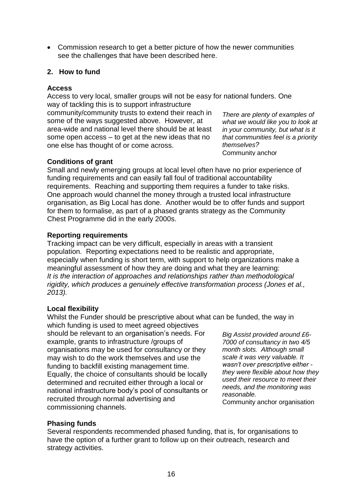Commission research to get a better picture of how the newer communities see the challenges that have been described here.

## **2. How to fund**

#### **Access**

Access to very local, smaller groups will not be easy for national funders. One way of tackling this is to support infrastructure community/community trusts to extend their reach in

some of the ways suggested above. However, at area-wide and national level there should be at least some open access – to get at the new ideas that no one else has thought of or come across.

*There are plenty of examples of what we would like you to look at in your community, but what is it that communities feel is a priority themselves?* Community anchor

#### **Conditions of grant**

Small and newly emerging groups at local level often have no prior experience of funding requirements and can easily fall foul of traditional accountability requirements. Reaching and supporting them requires a funder to take risks. One approach would channel the money through a trusted local infrastructure organisation, as Big Local has done. Another would be to offer funds and support for them to formalise, as part of a phased grants strategy as the Community Chest Programme did in the early 2000s.

#### **Reporting requirements**

Tracking impact can be very difficult, especially in areas with a transient population. Reporting expectations need to be realistic and appropriate, especially when funding is short term, with support to help organizations make a meaningful assessment of how they are doing and what they are learning: *It is the interaction of approaches and relationships rather than methodological rigidity, which produces a genuinely effective transformation process (Jones et al., 2013).*

## **Local flexibility**

Whilst the Funder should be prescriptive about what can be funded, the way in which funding is used to meet agreed objectives

should be relevant to an organisation's needs. For example, grants to infrastructure /groups of organisations may be used for consultancy or they may wish to do the work themselves and use the funding to backfill existing management time. Equally, the choice of consultants should be locally determined and recruited either through a local or national infrastructure body's pool of consultants or recruited through normal advertising and commissioning channels.

*Big Assist provided around £6- 7000 of consultancy in two 4/5 month slots. Although small scale it was very valuable. It wasn't over prescriptive either they were flexible about how they used their resource to meet their needs, and the monitoring was reasonable.* 

Community anchor organisation

## **Phasing funds**

Several respondents recommended phased funding, that is, for organisations to have the option of a further grant to follow up on their outreach, research and strategy activities.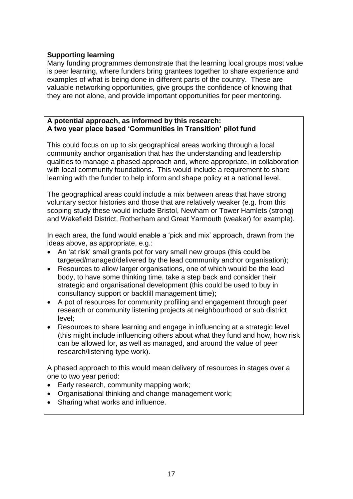## **Supporting learning**

Many funding programmes demonstrate that the learning local groups most value is peer learning, where funders bring grantees together to share experience and examples of what is being done in different parts of the country. These are valuable networking opportunities, give groups the confidence of knowing that they are not alone, and provide important opportunities for peer mentoring.

#### **A potential approach, as informed by this research: A two year place based 'Communities in Transition' pilot fund**

This could focus on up to six geographical areas working through a local community anchor organisation that has the understanding and leadership qualities to manage a phased approach and, where appropriate, in collaboration with local community foundations. This would include a requirement to share learning with the funder to help inform and shape policy at a national level.

The geographical areas could include a mix between areas that have strong voluntary sector histories and those that are relatively weaker (e.g. from this scoping study these would include Bristol, Newham or Tower Hamlets (strong) and Wakefield District, Rotherham and Great Yarmouth (weaker) for example).

In each area, the fund would enable a 'pick and mix' approach, drawn from the ideas above, as appropriate, e.g.:

- An 'at risk' small grants pot for very small new groups (this could be targeted/managed/delivered by the lead community anchor organisation);
- Resources to allow larger organisations, one of which would be the lead body, to have some thinking time, take a step back and consider their strategic and organisational development (this could be used to buy in consultancy support or backfill management time);
- A pot of resources for community profiling and engagement through peer research or community listening projects at neighbourhood or sub district level;
- Resources to share learning and engage in influencing at a strategic level (this might include influencing others about what they fund and how, how risk can be allowed for, as well as managed, and around the value of peer research/listening type work).

A phased approach to this would mean delivery of resources in stages over a one to two year period:

- Early research, community mapping work;
- Organisational thinking and change management work;
- Sharing what works and influence.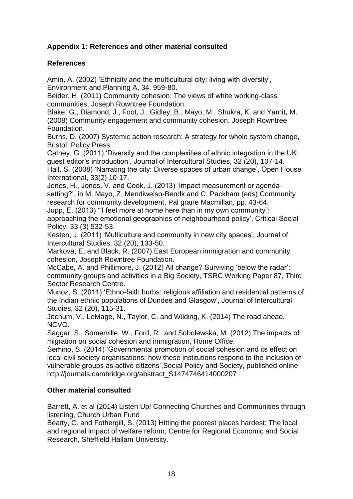## **Appendix 1: References and other material consulted**

## **References**

Amin, A. (2002) 'Ethnicity and the multicultural city: living with diversity', Environment and Planning A, 34, 959-80.

Beider, H. (2011) Community cohesion: The views of white working-class communities, Joseph Rowntree Foundation.

Blake, G., Diamond, J., Foot, J., Gidley, B., Mayo, M., Shukra, K. and Yarnit, M. (2008) Community engagement and community cohesion. Joseph Rowntree Foundation.

Burns, D. (2007) Systemic action research: A strategy for whole system change, Bristol: Policy Press.

Catney, G. (2011) 'Diversity and the complexities of ethnic integration in the UK: guest editor's introduction', Journal of Intercultural Studies, 32 (20), 107-14.

Hall, S. (2008) 'Narrating the city: Diverse spaces of urban change', Open House International, 33(2) 10-17.

Jones, H., Jones, V. and Cook, J. (2013) 'Impact measurement or agendasetting?', in M. Mayo, Z. Mendiwelso-Bendk and C. Packham (eds) Community research for community development, Pal grane Macmillan, pp. 43-64.

Jupp, E. (2013) '"I feel more at home here than in my own community":

approaching the emotional geographies of neighbourhood policy', Critical Social Policy, 33 (3) 532-53.

Kesten, J. (2011) 'Multiculture and community in new city spaces', Journal of Intercultural Studies, 32 (20), 133-50.

Markova, E, and Black, R. (2007) East European immigration and community cohesion, Joseph Rowntree Foundation.

McCabe, A. and Phillimore, J. (2012) All change? Surviving 'below the radar': community groups and activities in a Big Society, TSRC Working Paper 87, Third Sector Research Centre.

Munoz, S. (2011) 'Ethno-faith burbs: religious affiliation and residential patterns of the Indian ethnic populations of Dundee and Glasgow', Journal of Intercultural Studies, 32 (20), 115-31.

Jochum, V., LeMage, N., Taylor, C. and Wilding, K. (2014) The road ahead, NCVO.

Saggar, S., Somerville, W., Ford, R. and Sobolewska, M. (2012) The impacts of migration on social cohesion and immigration, Home Office.

Semino, S. (2014) 'Governmental promotion of social cohesion and its effect on local civil society organisations: how these institutions respond to the inclusion of vulnerable groups as active citizens',Social Policy and Society, published online [http://journals.cambridge.org/abstract\\_S1474746414000207](http://journals.cambridge.org/abstract_S1474746414000207)

## **Other material consulted**

Barrett, A. et al (2014) Listen Up! Connecting Churches and Communities through listening, Church Urban Fund

Beatty, C. and Fothergill, S. (2013) Hitting the poorest places hardest: The local and regional impact of welfare reform, Centre for Regional Economic and Social Research, Sheffield Hallam University.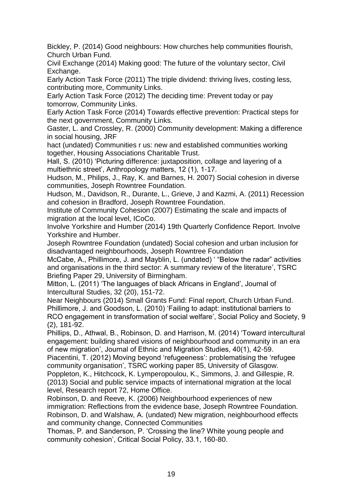Bickley, P. (2014) Good neighbours: How churches help communities flourish, Church Urban Fund.

Civil Exchange (2014) Making good: The future of the voluntary sector, Civil Exchange.

Early Action Task Force (2011) The triple dividend: thriving lives, costing less, contributing more, Community Links.

Early Action Task Force (2012) The deciding time: Prevent today or pay tomorrow, Community Links.

Early Action Task Force (2014) Towards effective prevention: Practical steps for the next government, Community Links.

Gaster, L. and Crossley, R. (2000) Community development: Making a difference in social housing, JRF

hact (undated) Communities r us: new and established communities working together, Housing Associations Charitable Trust.

Hall, S. (2010) 'Picturing difference: juxtaposition, collage and layering of a multiethnic street', Anthropology matters, 12 (1), 1-17.

Hudson, M., Philips, J., Ray, K. and Barnes, H. 2007) Social cohesion in diverse communities, Joseph Rowntree Foundation.

Hudson, M., Davidson, R., Durante, L., Grieve, J and Kazmi, A. (2011) Recession and cohesion in Bradford, Joseph Rowntree Foundation.

Institute of Community Cohesion (2007) Estimating the scale and impacts of migration at the local level, ICoCo.

Involve Yorkshire and Humber (2014) 19th Quarterly Confidence Report. Involve Yorkshire and Humber.

Joseph Rowntree Foundation (undated) Social cohesion and urban inclusion for disadvantaged neighbourhoods, Joseph Rowntree Foundation

McCabe, A., Phillimore, J. and Mayblin, L. (undated) ' "Below the radar" activities and organisations in the third sector: A summary review of the literature', TSRC Briefing Paper 29, University of Birmingham.

Mitton, L. (2011) 'The languages of black Africans in England', Journal of Intercultural Studies, 32 (20), 151-72.

Near Neighbours (2014) Small Grants Fund: Final report, Church Urban Fund. Phillimore, J. and Goodson, L. (2010) 'Failing to adapt: institutional barriers to RCO engagement in transformation of social welfare', Social Policy and Society, 9 (2), 181-92.

Phillips, D., Athwal, B., Robinson, D. and Harrison, M. (2014) 'Toward intercultural engagement: building shared visions of neighbourhood and community in an era of new migration', Journal of Ethnic and Migration Studies, 40(1), 42-59.

Piacentini, T. (2012) Moving beyond 'refugeeness': problematising the 'refugee community organisation', TSRC working paper 85, University of Glasgow.

Poppleton, K., Hitchcock, K. Lymperopoulou, K., Simmons, J. and Gillespie, R. (2013) Social and public service impacts of international migration at the local level, Research report 72, Home Office.

Robinson, D. and Reeve, K. (2006) Neighbourhood experiences of new immigration: Reflections from the evidence base, Joseph Rowntree Foundation. Robinson, D. and Walshaw, A. (undated) New migration, neighbourhood effects and community change, Connected Communities

Thomas, P. and Sanderson, P. 'Crossing the line? White young people and community cohesion', Critical Social Policy, 33.1, 160-80.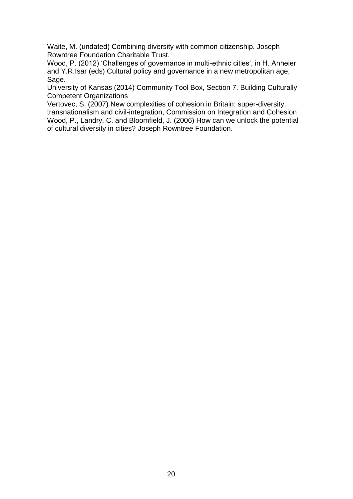Waite, M. (undated) Combining diversity with common citizenship, Joseph Rowntree Foundation Charitable Trust.

Wood, P. (2012) 'Challenges of governance in multi-ethnic cities', in H. Anheier and Y.R.Isar (eds) Cultural policy and governance in a new metropolitan age, Sage.

University of Kansas (2014) Community Tool Box, Section 7. Building Culturally Competent Organizations

Vertovec, S. (2007) New complexities of cohesion in Britain: super-diversity, transnationalism and civil-integration, Commission on Integration and Cohesion Wood, P., Landry, C. and Bloomfield, J. (2006) How can we unlock the potential of cultural diversity in cities? Joseph Rowntree Foundation.